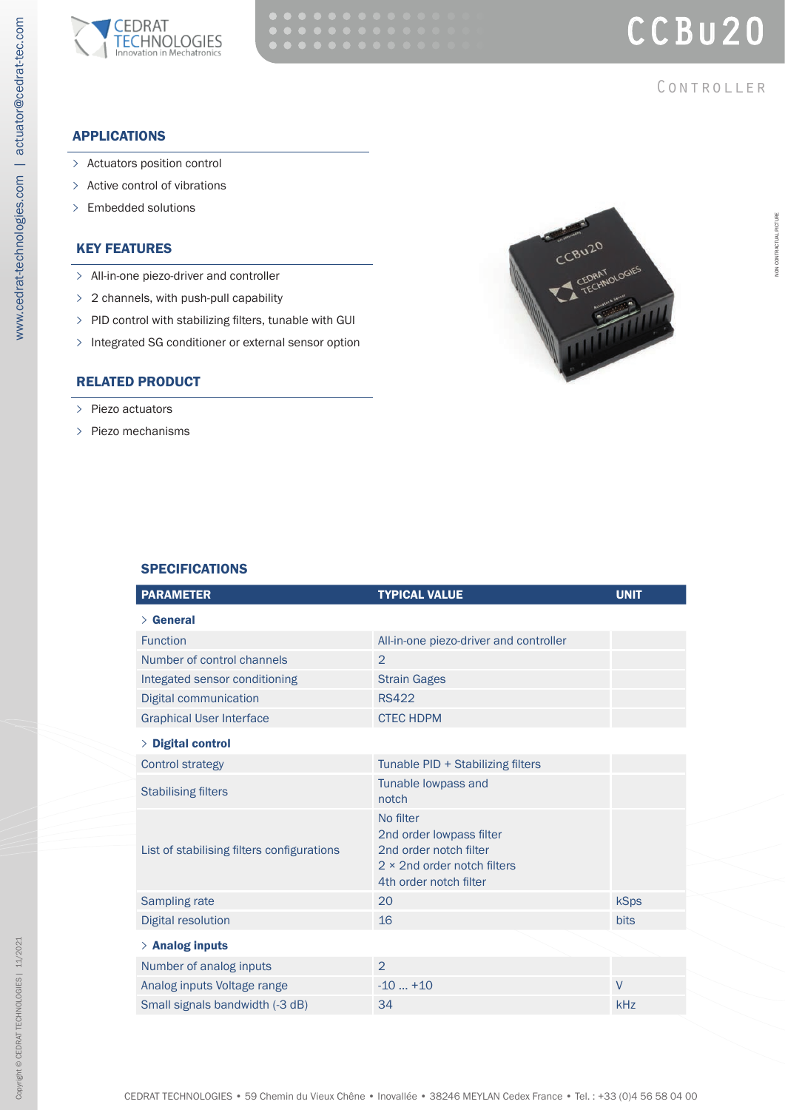



**CONTROLLER** 

# APPLICATIONS

www.cedrat-technologies.com | actuator@cedrat-tec.com

www.cedrat-technologies.com | actuator@cedrat-tec.com

- **>** Actuators position control
- **>** Active control of vibrations
- **>** Embedded solutions

# KEY FEATURES

- **>** All-in-one piezo-driver and controller
- **>** 2 channels, with push-pull capability
- **>** PID control with stabilizing filters, tunable with GUI
- **>** Integrated SG conditioner or external sensor option

# RELATED PRODUCT

- **>** Piezo actuators
- **>** Piezo mechanisms



## **SPECIFICATIONS**

| <b>PARAMETER</b>                           | <b>TYPICAL VALUE</b>                                                                                                             | <b>UNIT</b> |
|--------------------------------------------|----------------------------------------------------------------------------------------------------------------------------------|-------------|
| $\angle$ General                           |                                                                                                                                  |             |
| <b>Function</b>                            | All-in-one piezo-driver and controller                                                                                           |             |
| Number of control channels                 | $\overline{2}$                                                                                                                   |             |
| Integated sensor conditioning              | <b>Strain Gages</b>                                                                                                              |             |
| Digital communication                      | <b>RS422</b>                                                                                                                     |             |
| <b>Graphical User Interface</b>            | <b>CTEC HDPM</b>                                                                                                                 |             |
| > Digital control                          |                                                                                                                                  |             |
| <b>Control strategy</b>                    | Tunable PID + Stabilizing filters                                                                                                |             |
| <b>Stabilising filters</b>                 | Tunable lowpass and<br>notch                                                                                                     |             |
| List of stabilising filters configurations | No filter<br>2nd order lowpass filter<br>2nd order notch filter<br>$2 \times 2$ nd order notch filters<br>4th order notch filter |             |
| Sampling rate                              | 20                                                                                                                               | <b>kSps</b> |
| <b>Digital resolution</b>                  | 16                                                                                                                               | <b>bits</b> |
| $>$ Analog inputs                          |                                                                                                                                  |             |
| Number of analog inputs                    | $\overline{2}$                                                                                                                   |             |
| Analog inputs Voltage range                | $-10+10$                                                                                                                         | $\vee$      |
| Small signals bandwidth (-3 dB)            | 34                                                                                                                               | kHz         |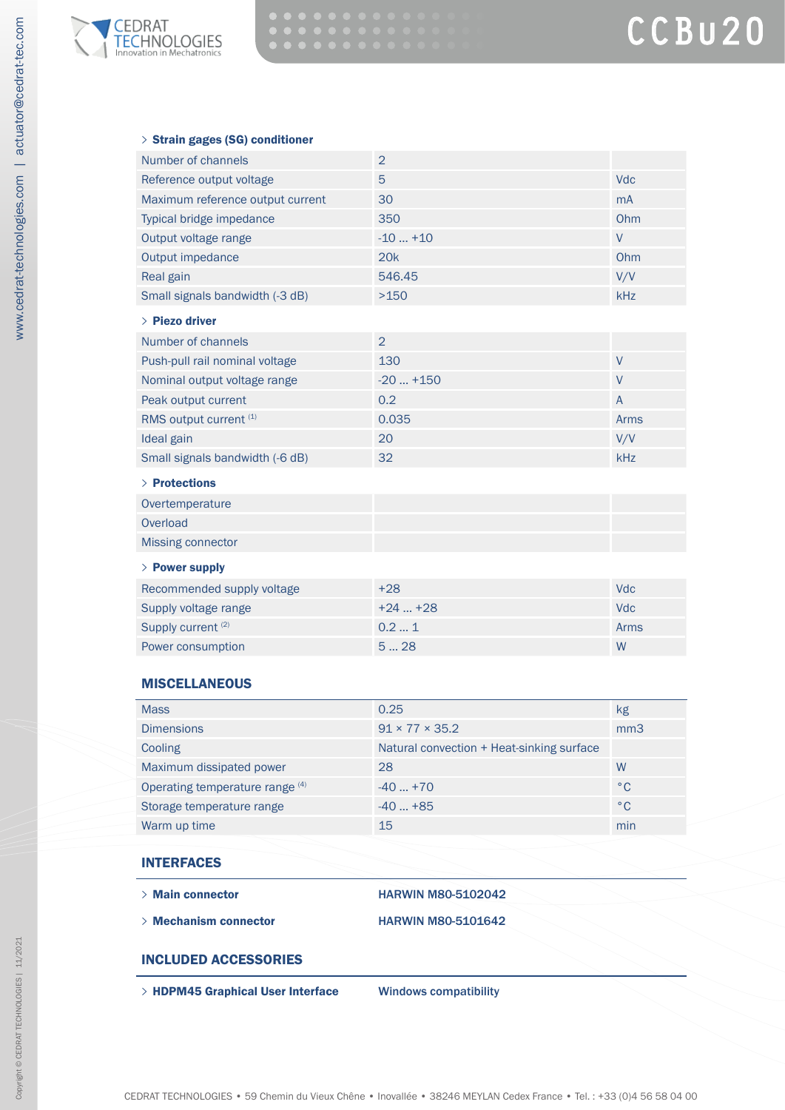

#### **>** Strain gages (SG) conditioner

| Number of channels               | $\overline{2}$ |            |
|----------------------------------|----------------|------------|
| Reference output voltage         | 5              | <b>Vdc</b> |
| Maximum reference output current | 30             | <b>mA</b>  |
| Typical bridge impedance         | 350            | Ohm        |
| Output voltage range             | $-10+10$       | V          |
| Output impedance                 | 20k            | Ohm        |
| Real gain                        | 546.45         | V/V        |
| Small signals bandwidth (-3 dB)  | >150           | <b>kHz</b> |
| $\angle$ Piezo driver            |                |            |
| Number of channels               |                |            |

| Push-pull rail nominal voltage  | 130       |      |
|---------------------------------|-----------|------|
| Nominal output voltage range    | $-20+150$ |      |
| Peak output current             | 0.2       | A    |
| RMS output current (1)          | 0.035     | Arms |
| Ideal gain                      | 20        | V/V  |
| Small signals bandwidth (-6 dB) | 32        | kHz  |

#### **>** Protections

| Overtemperature          |  |
|--------------------------|--|
| Overload                 |  |
| <b>Missing connector</b> |  |
|                          |  |

## **>** Power supply

| Recommended supply voltage    | $+28$    | Vdc  |
|-------------------------------|----------|------|
| Supply voltage range          | $+24+28$ | Vdc. |
| Supply current <sup>(2)</sup> | 0.21     | Arms |
| Power consumption             | 528      | W    |

### **MISCELLANEOUS**

| <b>Mass</b>                     | 0.25                                      | kg           |
|---------------------------------|-------------------------------------------|--------------|
| <b>Dimensions</b>               | $91 \times 77 \times 35.2$                | mm3          |
| Cooling                         | Natural convection + Heat-sinking surface |              |
| Maximum dissipated power        | 28                                        | W            |
| Operating temperature range (4) | $-40+70$                                  | $^{\circ}$ C |
| Storage temperature range       | $-40+85$                                  | $^{\circ}$ C |
| Warm up time                    | 15                                        | min          |

#### INTERFACES

**>** Main connector HARWIN M80-5102042

- 
- **>** Mechanism connector HARWIN M80-5101642

## INCLUDED ACCESSORIES

**>** HDPM45 Graphical User Interface Windows compatibility